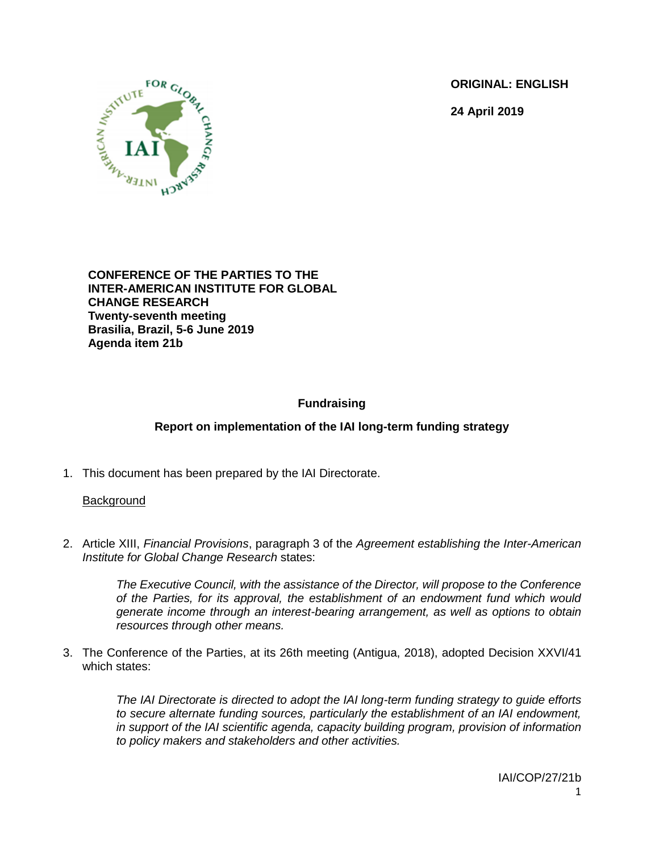**ORIGINAL: ENGLISH**

**24 April 2019**



**CONFERENCE OF THE PARTIES TO THE INTER-AMERICAN INSTITUTE FOR GLOBAL CHANGE RESEARCH Twenty-seventh meeting Brasilia, Brazil, 5-6 June 2019 Agenda item 21b**

# **Fundraising**

# **Report on implementation of the IAI long-term funding strategy**

1. This document has been prepared by the IAI Directorate.

# **Background**

2. Article XIII, *Financial Provisions*, paragraph 3 of the *Agreement establishing the Inter-American Institute for Global Change Research* states:

> *The Executive Council, with the assistance of the Director, will propose to the Conference of the Parties, for its approval, the establishment of an endowment fund which would generate income through an interest-bearing arrangement, as well as options to obtain resources through other means.*

3. The Conference of the Parties, at its 26th meeting (Antigua, 2018), adopted Decision XXVI/41 which states:

> *The IAI Directorate is directed to adopt the IAI long-term funding strategy to guide efforts to secure alternate funding sources, particularly the establishment of an IAI endowment, in support of the IAI scientific agenda, capacity building program, provision of information to policy makers and stakeholders and other activities.*